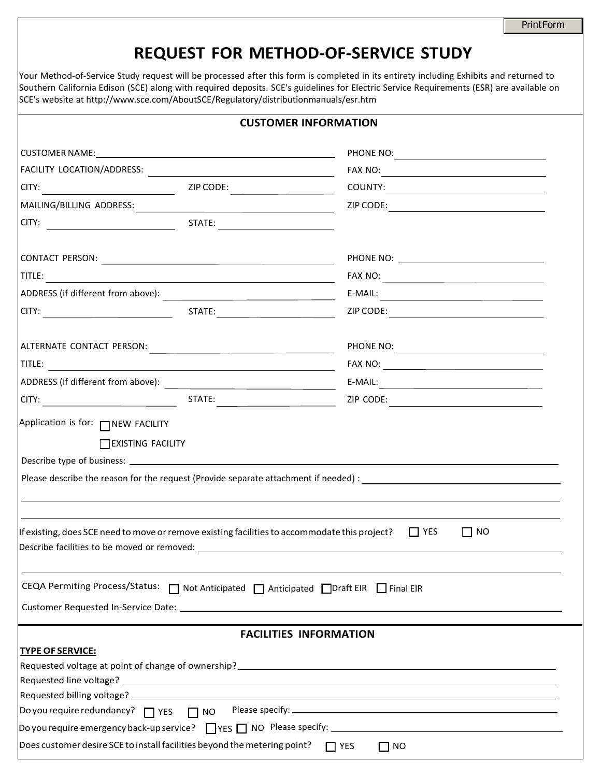#### **REQUEST FOR METHOD-OF-SERVICE STUDY**

Your Method-of-Service Study request will be processed after this form is completed in its entirety including Exhibits and returned to Southern California Edison (SCE) along with required deposits. SCE's guidelines for Electric Service Requirements (ESR) are available on SCE's website at [http://www.sce.com/AboutSCE/Regulatory/distributionm](http://www.sce.com/AboutSCE/Regulatory/distributionmanuals/esr.htm)anuals/esr.htm

|                                                                                                                                                                                                                                                                                                                          | <b>CUSTOMER INFORMATION</b>   |
|--------------------------------------------------------------------------------------------------------------------------------------------------------------------------------------------------------------------------------------------------------------------------------------------------------------------------|-------------------------------|
|                                                                                                                                                                                                                                                                                                                          |                               |
|                                                                                                                                                                                                                                                                                                                          | FAX NO: $\qquad \qquad$       |
|                                                                                                                                                                                                                                                                                                                          |                               |
| MAILING/BILLING ADDRESS: National Contract of Address of Address of Address of Address of Address of Address o                                                                                                                                                                                                           |                               |
|                                                                                                                                                                                                                                                                                                                          |                               |
|                                                                                                                                                                                                                                                                                                                          |                               |
| TITLE: TITLE: TITLE: THE PARTIES OF THE PARTIES OF THE PARTIES OF THE PARTIES OF THE PARTIES OF THE PARTIES OF                                                                                                                                                                                                           |                               |
|                                                                                                                                                                                                                                                                                                                          | $E-MAIL:$                     |
|                                                                                                                                                                                                                                                                                                                          |                               |
|                                                                                                                                                                                                                                                                                                                          |                               |
| TITLE: <b>All and the Commission of the Commission Commission of the Commission Commission</b>                                                                                                                                                                                                                           |                               |
|                                                                                                                                                                                                                                                                                                                          | $E-MAIL:$                     |
|                                                                                                                                                                                                                                                                                                                          | ZIP CODE:                     |
| Application is for: NEW FACILITY<br><b>TEXISTING FACILITY</b>                                                                                                                                                                                                                                                            |                               |
|                                                                                                                                                                                                                                                                                                                          |                               |
| If existing, does SCE need to move or remove existing facilities to accommodate this project?                                                                                                                                                                                                                            | $\Box$ NO<br>$\Box$ YES       |
| CEQA Permiting Process/Status: □ Not Anticipated □ Anticipated □ Draft EIR □ Final EIR<br>Customer Requested In-Service Date: National Accounts and Accounts and Accounts and Accounts are also been accounted by the United States and Accounts are also been accounted by the United States and Accounts are also been |                               |
|                                                                                                                                                                                                                                                                                                                          | <b>FACILITIES INFORMATION</b> |
| <b>TYPE OF SERVICE:</b>                                                                                                                                                                                                                                                                                                  |                               |
|                                                                                                                                                                                                                                                                                                                          |                               |
|                                                                                                                                                                                                                                                                                                                          |                               |
|                                                                                                                                                                                                                                                                                                                          |                               |
|                                                                                                                                                                                                                                                                                                                          |                               |
| Does customer desire SCE to install facilities beyond the metering point?                                                                                                                                                                                                                                                | $\prod$ YES<br>$\Box$ NO      |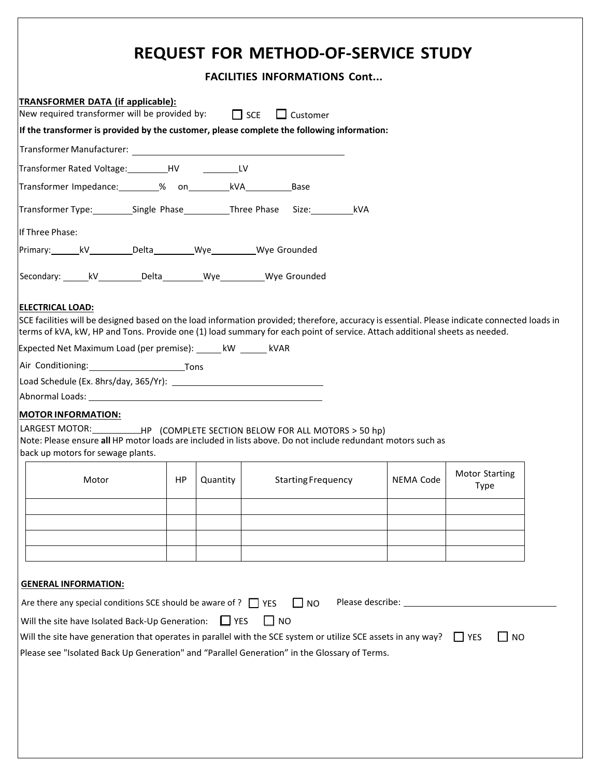## **REQUEST FOR METHOD-OF-SERVICE STUDY**

|                                                                                                                                                                                                                                                                                                       |           |            | <b>FACILITIES INFORMATIONS Cont</b> |           |                               |
|-------------------------------------------------------------------------------------------------------------------------------------------------------------------------------------------------------------------------------------------------------------------------------------------------------|-----------|------------|-------------------------------------|-----------|-------------------------------|
| TRANSFORMER DATA (if applicable):<br>New required transformer will be provided by: $\Box$ SCE $\Box$ Customer                                                                                                                                                                                         |           |            |                                     |           |                               |
| If the transformer is provided by the customer, please complete the following information:                                                                                                                                                                                                            |           |            |                                     |           |                               |
| Transformer Manufacturer: The Contract of the Contract of the Contract of the Contract of the Contract of the Contract of the Contract of the Contract of the Contract of the Contract of the Contract of the Contract of the                                                                         |           |            |                                     |           |                               |
| Transformer Rated Voltage: Manual HV Manual LV                                                                                                                                                                                                                                                        |           |            |                                     |           |                               |
|                                                                                                                                                                                                                                                                                                       |           |            |                                     |           |                               |
| Transformer Type: Single Phase ___________Three Phase Size: http://                                                                                                                                                                                                                                   |           |            |                                     |           |                               |
| If Three Phase:                                                                                                                                                                                                                                                                                       |           |            |                                     |           |                               |
| Primary: kV________________Delta_______________Wye____________Wye Grounded                                                                                                                                                                                                                            |           |            |                                     |           |                               |
| Secondary: kV____________Delta____________Wye___________Wye Grounded                                                                                                                                                                                                                                  |           |            |                                     |           |                               |
| <b>ELECTRICAL LOAD:</b><br>SCE facilities will be designed based on the load information provided; therefore, accuracy is essential. Please indicate connected loads in<br>terms of kVA, kW, HP and Tons. Provide one (1) load summary for each point of service. Attach additional sheets as needed. |           |            |                                     |           |                               |
| Expected Net Maximum Load (per premise): _______ kW _______ kVAR                                                                                                                                                                                                                                      |           |            |                                     |           |                               |
| Air Conditioning: Tons                                                                                                                                                                                                                                                                                |           |            |                                     |           |                               |
|                                                                                                                                                                                                                                                                                                       |           |            |                                     |           |                               |
|                                                                                                                                                                                                                                                                                                       |           |            |                                     |           |                               |
| <b>MOTOR INFORMATION:</b><br>LARGEST MOTOR: ____________HP (COMPLETE SECTION BELOW FOR ALL MOTORS > 50 hp)                                                                                                                                                                                            |           |            |                                     |           |                               |
| Note: Please ensure all HP motor loads are included in lists above. Do not include redundant motors such as                                                                                                                                                                                           |           |            |                                     |           |                               |
| back up motors for sewage plants.                                                                                                                                                                                                                                                                     |           |            |                                     |           |                               |
| Motor                                                                                                                                                                                                                                                                                                 | <b>HP</b> | Quantity   | <b>Starting Frequency</b>           | NEMA Code | <b>Motor Starting</b><br>Type |
|                                                                                                                                                                                                                                                                                                       |           |            |                                     |           |                               |
|                                                                                                                                                                                                                                                                                                       |           |            |                                     |           |                               |
|                                                                                                                                                                                                                                                                                                       |           |            |                                     |           |                               |
|                                                                                                                                                                                                                                                                                                       |           |            |                                     |           |                               |
| <b>GENERAL INFORMATION:</b>                                                                                                                                                                                                                                                                           |           |            |                                     |           |                               |
| Are there any special conditions SCE should be aware of ? $\Box$ YES                                                                                                                                                                                                                                  |           |            |                                     |           |                               |
|                                                                                                                                                                                                                                                                                                       |           |            | $\Box$ NO                           |           |                               |
| Will the site have Isolated Back-Up Generation:                                                                                                                                                                                                                                                       |           | $\Box$ YES | I I NO                              |           |                               |
| Will the site have generation that operates in parallel with the SCE system or utilize SCE assets in any way? $\Box$ YES                                                                                                                                                                              |           |            |                                     |           | $\sqcup$ NO                   |
| Please see "Isolated Back Up Generation" and "Parallel Generation" in the Glossary of Terms.                                                                                                                                                                                                          |           |            |                                     |           |                               |
|                                                                                                                                                                                                                                                                                                       |           |            |                                     |           |                               |
|                                                                                                                                                                                                                                                                                                       |           |            |                                     |           |                               |
|                                                                                                                                                                                                                                                                                                       |           |            |                                     |           |                               |
|                                                                                                                                                                                                                                                                                                       |           |            |                                     |           |                               |
|                                                                                                                                                                                                                                                                                                       |           |            |                                     |           |                               |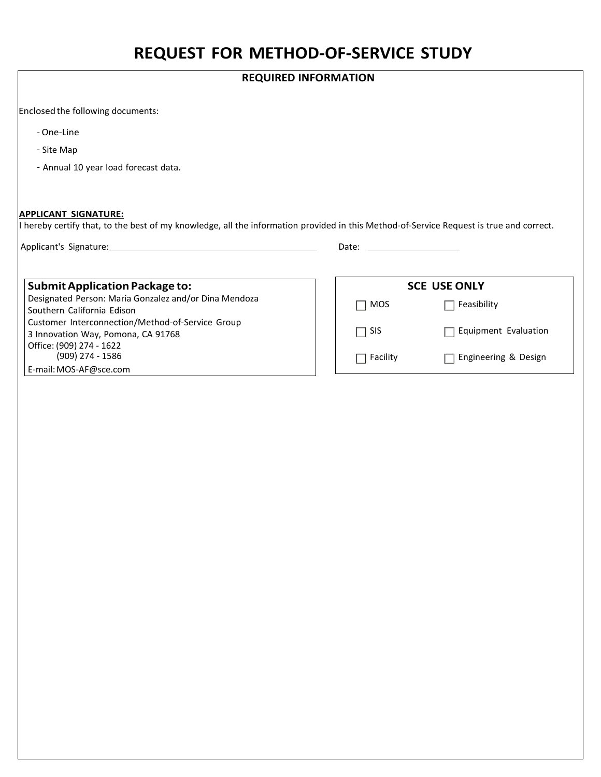### **REQUEST FOR METHOD-OF-SERVICE STUDY**

|                                                                                                                                                                                                                                                                                                                                                                                                                    | <b>REQUIRED INFORMATION</b> |                      |
|--------------------------------------------------------------------------------------------------------------------------------------------------------------------------------------------------------------------------------------------------------------------------------------------------------------------------------------------------------------------------------------------------------------------|-----------------------------|----------------------|
| Enclosed the following documents:                                                                                                                                                                                                                                                                                                                                                                                  |                             |                      |
| - One-Line                                                                                                                                                                                                                                                                                                                                                                                                         |                             |                      |
| - Site Map                                                                                                                                                                                                                                                                                                                                                                                                         |                             |                      |
| - Annual 10 year load forecast data.                                                                                                                                                                                                                                                                                                                                                                               |                             |                      |
|                                                                                                                                                                                                                                                                                                                                                                                                                    |                             |                      |
|                                                                                                                                                                                                                                                                                                                                                                                                                    |                             |                      |
|                                                                                                                                                                                                                                                                                                                                                                                                                    |                             |                      |
| APPLICANT SIGNATURE:                                                                                                                                                                                                                                                                                                                                                                                               |                             |                      |
|                                                                                                                                                                                                                                                                                                                                                                                                                    | Date:                       |                      |
| I hereby certify that, to the best of my knowledge, all the information provided in this Method-of-Service Request is true and correct.<br>Applicant's Signature: Applicant of Security and Security and Security and Security and Security and Security and Security and Security and Security and Security and Security and Security and Security and Security and Secu<br><b>Submit Application Package to:</b> |                             | <b>SCE USE ONLY</b>  |
| Designated Person: Maria Gonzalez and/or Dina Mendoza<br>Southern California Edison                                                                                                                                                                                                                                                                                                                                | MOS                         | Feasibility          |
| Customer Interconnection/Method-of-Service Group<br>3 Innovation Way, Pomona, CA 91768                                                                                                                                                                                                                                                                                                                             | <b>SIS</b>                  | Equipment Evaluation |
| Office: (909) 274 - 1622<br>(909) 274 - 1586                                                                                                                                                                                                                                                                                                                                                                       | Facility                    | Engineering & Design |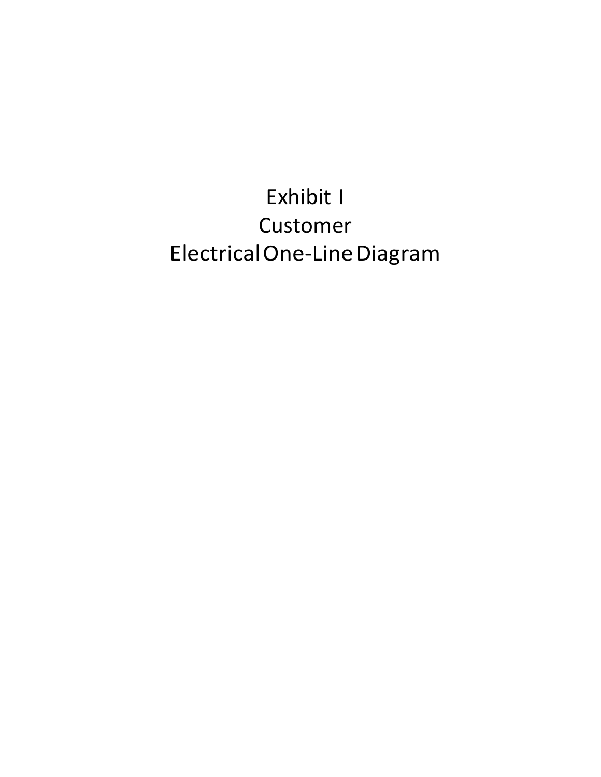# Exhibit I Customer Electrical One-Line Diagram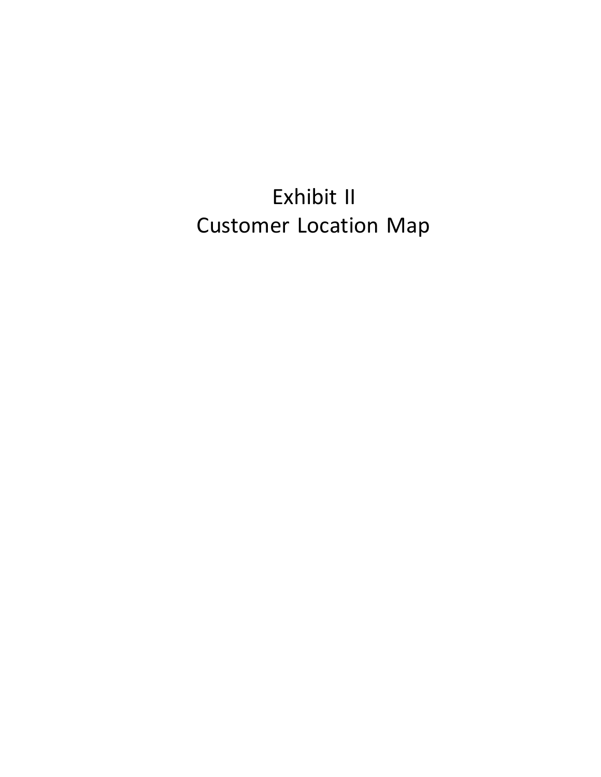Exhibit II Customer Location Map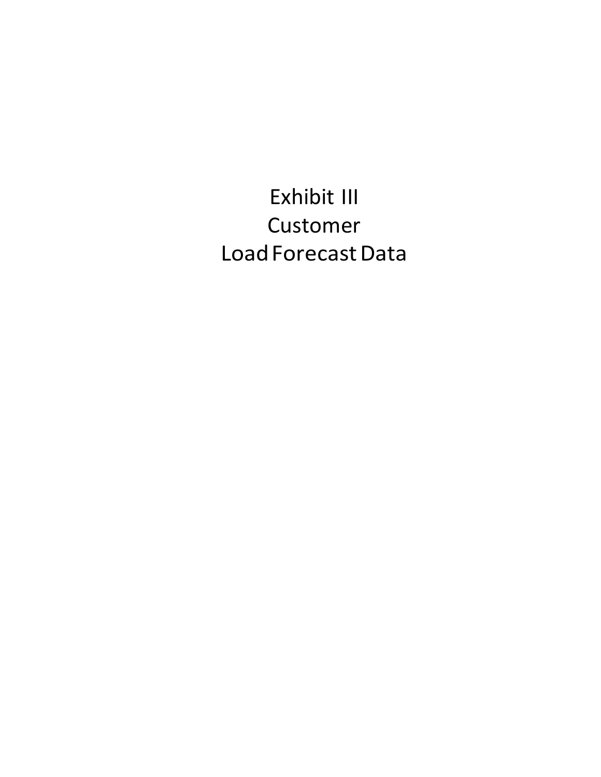## Exhibit III Customer Load Forecast Data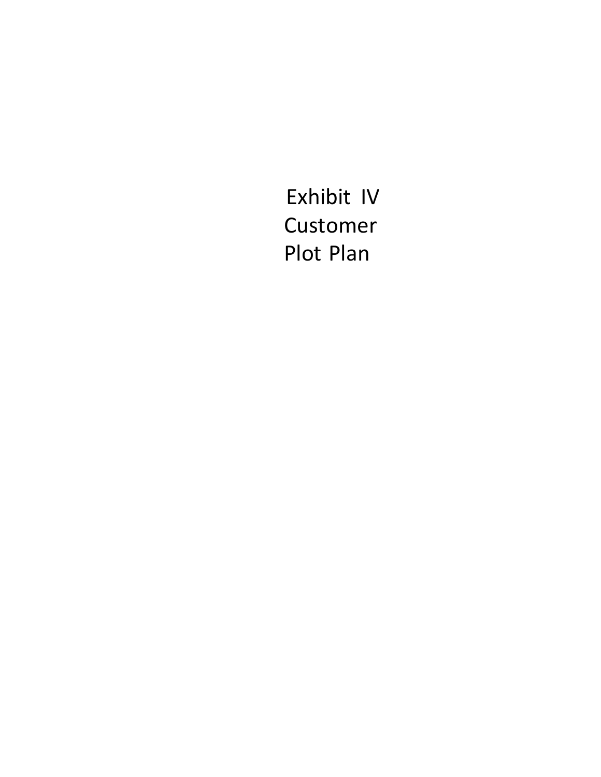Exhibit IV Customer Plot Plan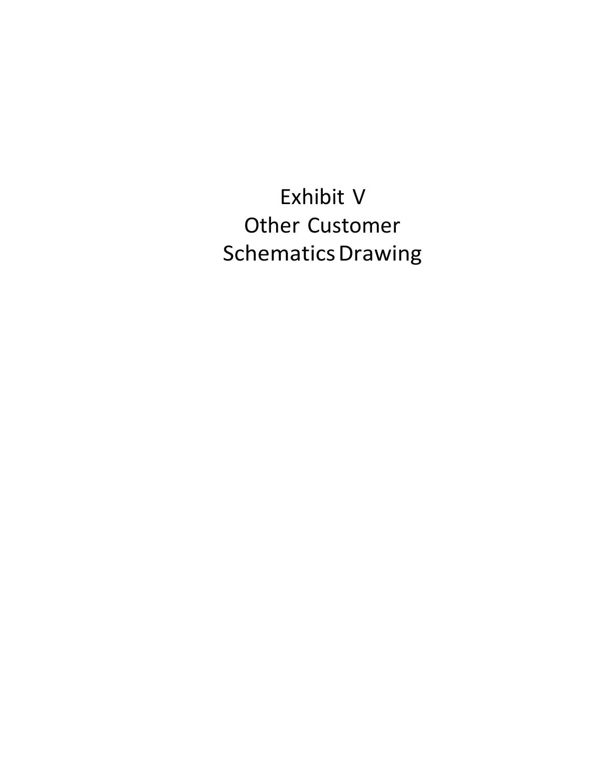Exhibit V Other Customer Schematics Drawing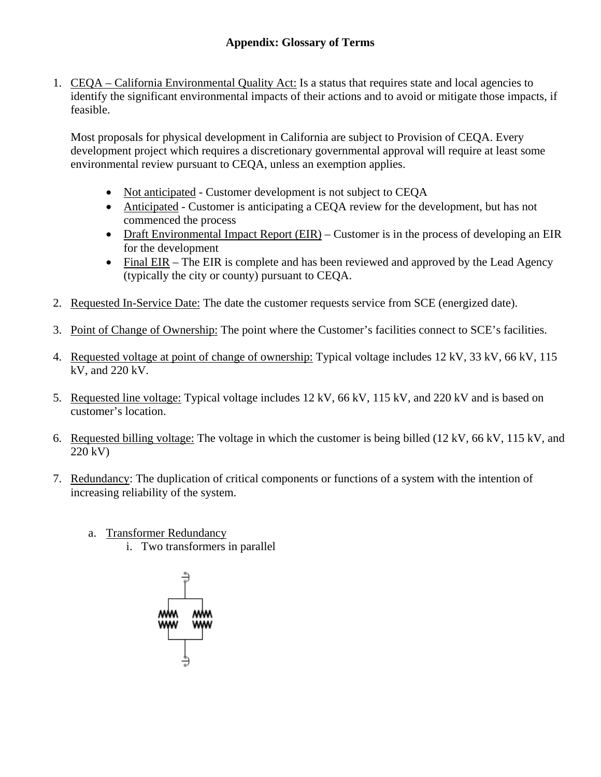1. CEQA – California Environmental Quality Act: Is a status that requires state and local agencies to identify the significant environmental impacts of their actions and to avoid or mitigate those impacts, if feasible.

Most proposals for physical development in California are subject to Provision of CEQA. Every development project which requires a discretionary governmental approval will require at least some environmental review pursuant to CEQA, unless an exemption applies.

- Not anticipated Customer development is not subject to CEQA
- Anticipated Customer is anticipating a CEQA review for the development, but has not commenced the process
- Draft Environmental Impact Report (EIR) Customer is in the process of developing an EIR for the development
- Final EIR The EIR is complete and has been reviewed and approved by the Lead Agency (typically the city or county) pursuant to CEQA.
- 2. Requested In-Service Date: The date the customer requests service from SCE (energized date).
- 3. Point of Change of Ownership: The point where the Customer's facilities connect to SCE's facilities.
- 4. Requested voltage at point of change of ownership: Typical voltage includes 12 kV, 33 kV, 66 kV, 115 kV, and 220 kV.
- 5. Requested line voltage: Typical voltage includes 12 kV, 66 kV, 115 kV, and 220 kV and is based on customer's location.
- 6. Requested billing voltage: The voltage in which the customer is being billed (12 kV, 66 kV, 115 kV, and 220 kV)
- 7. Redundancy: The duplication of critical components or functions of a system with the intention of increasing reliability of the system.
	- a. Transformer Redundancy
		- i. Two transformers in parallel

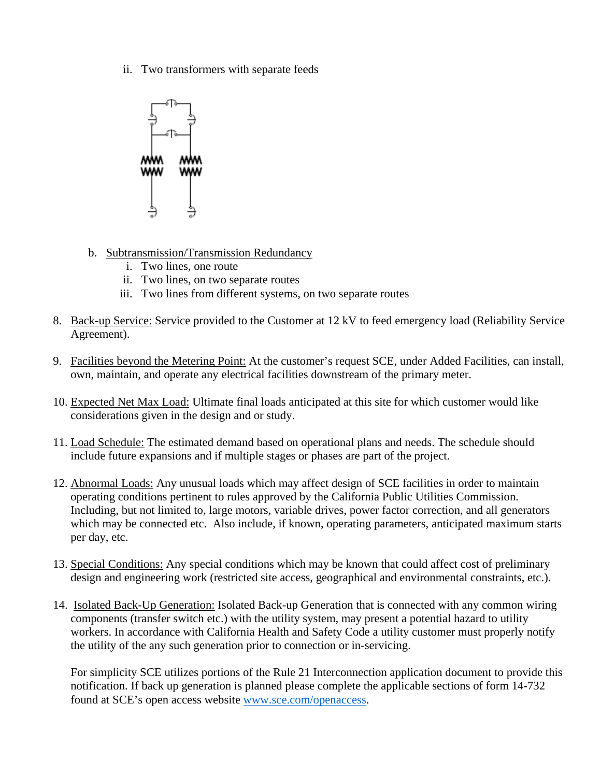ii. Two transformers with separate feeds



- b. Subtransmission/Transmission Redundancy
	- i. Two lines, one route
	- ii. Two lines, on two separate routes
	- iii. Two lines from different systems, on two separate routes
- 8. Back-up Service: Service provided to the Customer at 12 kV to feed emergency load (Reliability Service Agreement).
- 9. Facilities beyond the Metering Point: At the customer's request SCE, under Added Facilities, can install, own, maintain, and operate any electrical facilities downstream of the primary meter.
- 10. Expected Net Max Load: Ultimate final loads anticipated at this site for which customer would like considerations given in the design and or study.
- 11. Load Schedule: The estimated demand based on operational plans and needs. The schedule should include future expansions and if multiple stages or phases are part of the project.
- 12. Abnormal Loads: Any unusual loads which may affect design of SCE facilities in order to maintain operating conditions pertinent to rules approved by the California Public Utilities Commission. Including, but not limited to, large motors, variable drives, power factor correction, and all generators which may be connected etc. Also include, if known, operating parameters, anticipated maximum starts per day, etc.
- 13. Special Conditions: Any special conditions which may be known that could affect cost of preliminary design and engineering work (restricted site access, geographical and environmental constraints, etc.).
- 14. Isolated Back-Up Generation: Isolated Back-up Generation that is connected with any common wiring components (transfer switch etc.) with the utility system, may present a potential hazard to utility workers. In accordance with California Health and Safety Code a utility customer must properly notify the utility of the any such generation prior to connection or in-servicing.

For simplicity SCE utilizes portions of the Rule 21 Interconnection application document to provide this notification. If back up generation is planned please complete the applicable sections of form 14-732 found at SCE's open access website www.sce.com/openaccess.